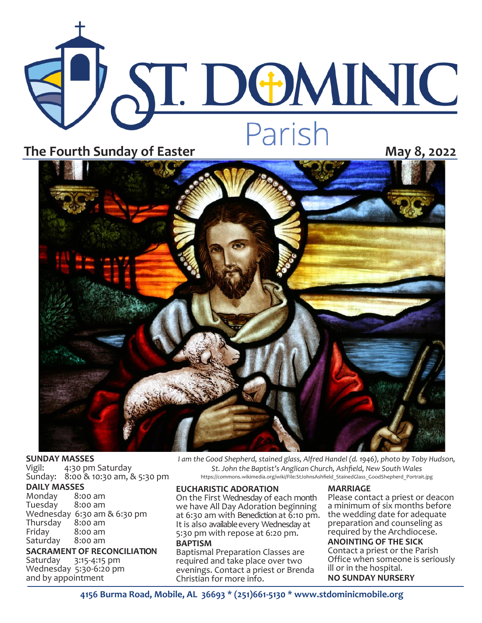# **ST. DOMINIC** The Fourth Sunday of Easter<br>
The Fourth Sunday of Easter **May 8, 2022**



### **SUNDAY MASSES**<br>Vigil: 4:30 pm

4:30 pm Saturday Sunday: 8:00 & 10:30 am, & 5:30 pm

#### **DAILY MASSES**

Monday 8:00 am Tuesday Wednesday 6:30 am & 6:30 pm Thursday<br>Friday  $8:00$  am<br> $8:00$  am Saturday

**SACRAMENT OF RECONCILIATION** Saturday 3:15-4:15 pm Wednesday 5:30-6:20 pm

and by appointment

*I am the Good Shepherd, stained glass, Alfred Handel (d. 1946), photo by Toby Hudson, St. John the Baptist's Anglican Church, Ashfield, New South Wales*  https://commons.wikimedia.org/wiki/File:StJohnsAshfield\_StainedGlass\_GoodShepherd\_Portrait.jpg

#### **EUCHARISTIC ADORATION**

On the First Wednesday of each month we have All Day Adoration beginning at 6:30 am with Benediction at 6:10 pm. It is also available every Wednesday at 5:30 pm with repose at 6:20 pm.

**BAPTISM** Baptismal Preparation Classes are required and take place over two evenings. Contact a priest or Brenda Christian for more info.

#### **MARRIAGE**

Please contact a priest or deacon a minimum of six months before the wedding date for adequate preparation and counseling as required by the Archdiocese.

#### **ANOINTING OF THE SICK**

Contact a priest or the Parish Office when someone is seriously ill or in the hospital. **NO SUNDAY NURSERY**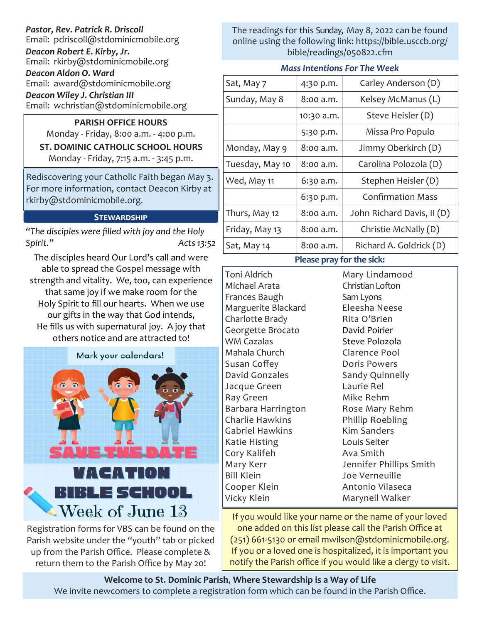#### *Pastor, Rev. Patrick R. Driscoll*

Email: pdriscoll@stdominicmobile.org

*Deacon Robert E. Kirby, Jr.* Email: rkirby@stdominicmobile.org

*Deacon Aldon O. Ward* Email: award@stdominicmobile.org

*Deacon Wiley J. Christian III*

Email: wchristian@stdominicmobile.org

**PARISH OFFICE HOURS** Monday - Friday, 8:00 a.m. - 4:00 p.m. **ST. DOMINIC CATHOLIC SCHOOL HOURS**  Monday - Friday, 7:15 a.m. - 3:45 p.m.

Rediscovering your Catholic Faith began May 3. For more information, contact Deacon Kirby at rkirby@stdominicmobile.org.

#### **Stewardship**

*"The disciples were filled with joy and the Holy Spirit." Acts 13:52*

The disciples heard Our Lord's call and were able to spread the Gospel message with strength and vitality. We, too, can experience that same joy if we make room for the Holy Spirit to fill our hearts. When we use our gifts in the way that God intends, He fills us with supernatural joy. A joy that others notice and are attracted to!



Registration forms for VBS can be found on the Parish website under the "youth" tab or picked up from the Parish Office. Please complete & return them to the Parish Office by May 20!

The readings for this Sunday, May 8, 2022 can be found online using the following link: https://bible.usccb.org/ bible/readings/050822.cfm

#### *Mass Intentions For The Week*

| Sat, May 7                | 4:30 p.m.  | Carley Anderson (D)        |
|---------------------------|------------|----------------------------|
| Sunday, May 8             | 8:00 a.m.  | Kelsey McManus (L)         |
|                           | 10:30 a.m. | Steve Heisler (D)          |
|                           | 5:30 p.m.  | Missa Pro Populo           |
| Monday, May 9             | 8:00 a.m.  | Jimmy Oberkirch (D)        |
| Tuesday, May 10           | 8:00 a.m.  | Carolina Polozola (D)      |
| Wed, May 11               | 6:30 a.m.  | Stephen Heisler (D)        |
|                           | 6:30 p.m.  | <b>Confirmation Mass</b>   |
| Thurs, May 12             | 8:00 a.m.  | John Richard Davis, II (D) |
| Friday, May 13            | 8:00 a.m.  | Christie McNally (D)       |
| Sat, May 14               | 8:00 a.m.  | Richard A. Goldrick (D)    |
| Please pray for the sick: |            |                            |

Toni Aldrich Michael Arata Frances Baugh Marguerite Blackard Charlotte Brady Georgette Brocato WM Cazalas Mahala Church Susan Coffey David Gonzales Jacque Green Ray Green Barbara Harrington Charlie Hawkins Gabriel Hawkins Katie Histing Cory Kalifeh Mary Kerr Bill Klein Cooper Klein Vicky Klein

Mary Lindamood Christian Lofton Sam Lyons Eleesha Neese Rita O'Brien David Poirier Steve Polozola Clarence Pool Doris Powers Sandy Quinnelly Laurie Rel Mike Rehm Rose Mary Rehm Phillip Roebling Kim Sanders Louis Seiter Ava Smith Jennifer Phillips Smith Joe Verneuille Antonio Vilaseca Maryneil Walker

If you would like your name or the name of your loved one added on this list please call the Parish Office at (251) 661-5130 or email mwilson@stdominicmobile.org. If you or a loved one is hospitalized, it is important you notify the Parish office if you would like a clergy to visit.

**Welcome to St. Dominic Parish**, **Where Stewardship is a Way of Life**  We invite newcomers to complete a registration form which can be found in the Parish Office.